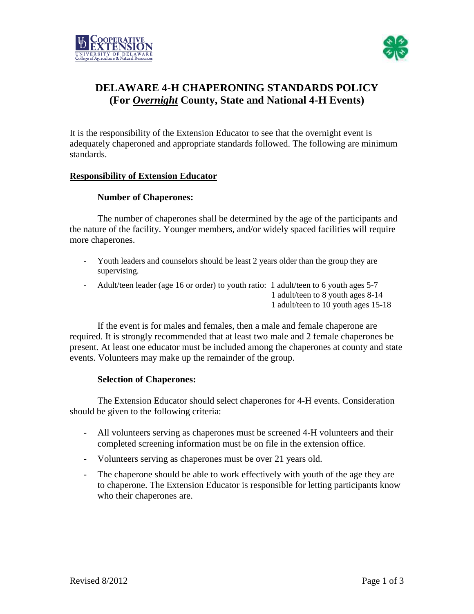



# **DELAWARE 4-H CHAPERONING STANDARDS POLICY (For** *Overnight* **County, State and National 4-H Events)**

It is the responsibility of the Extension Educator to see that the overnight event is adequately chaperoned and appropriate standards followed. The following are minimum standards.

### **Responsibility of Extension Educator**

#### **Number of Chaperones:**

The number of chaperones shall be determined by the age of the participants and the nature of the facility. Younger members, and/or widely spaced facilities will require more chaperones.

- Youth leaders and counselors should be least 2 years older than the group they are supervising.
- Adult/teen leader (age 16 or order) to youth ratio: 1 adult/teen to 6 youth ages 5-7 1 adult/teen to 8 youth ages 8-14 1 adult/teen to 10 youth ages 15-18

If the event is for males and females, then a male and female chaperone are required. It is strongly recommended that at least two male and 2 female chaperones be present. At least one educator must be included among the chaperones at county and state events. Volunteers may make up the remainder of the group.

#### **Selection of Chaperones:**

The Extension Educator should select chaperones for 4-H events. Consideration should be given to the following criteria:

- All volunteers serving as chaperones must be screened 4-H volunteers and their completed screening information must be on file in the extension office.
- Volunteers serving as chaperones must be over 21 years old.
- The chaperone should be able to work effectively with youth of the age they are to chaperone. The Extension Educator is responsible for letting participants know who their chaperones are.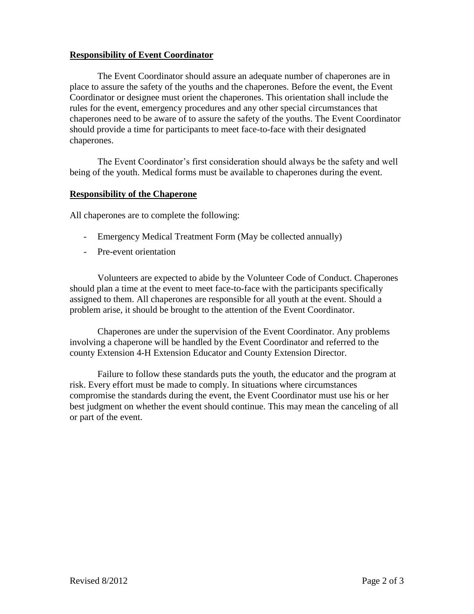## **Responsibility of Event Coordinator**

The Event Coordinator should assure an adequate number of chaperones are in place to assure the safety of the youths and the chaperones. Before the event, the Event Coordinator or designee must orient the chaperones. This orientation shall include the rules for the event, emergency procedures and any other special circumstances that chaperones need to be aware of to assure the safety of the youths. The Event Coordinator should provide a time for participants to meet face-to-face with their designated chaperones.

The Event Coordinator's first consideration should always be the safety and well being of the youth. Medical forms must be available to chaperones during the event.

### **Responsibility of the Chaperone**

All chaperones are to complete the following:

- Emergency Medical Treatment Form (May be collected annually)
- Pre-event orientation

Volunteers are expected to abide by the Volunteer Code of Conduct. Chaperones should plan a time at the event to meet face-to-face with the participants specifically assigned to them. All chaperones are responsible for all youth at the event. Should a problem arise, it should be brought to the attention of the Event Coordinator.

Chaperones are under the supervision of the Event Coordinator. Any problems involving a chaperone will be handled by the Event Coordinator and referred to the county Extension 4-H Extension Educator and County Extension Director.

Failure to follow these standards puts the youth, the educator and the program at risk. Every effort must be made to comply. In situations where circumstances compromise the standards during the event, the Event Coordinator must use his or her best judgment on whether the event should continue. This may mean the canceling of all or part of the event.